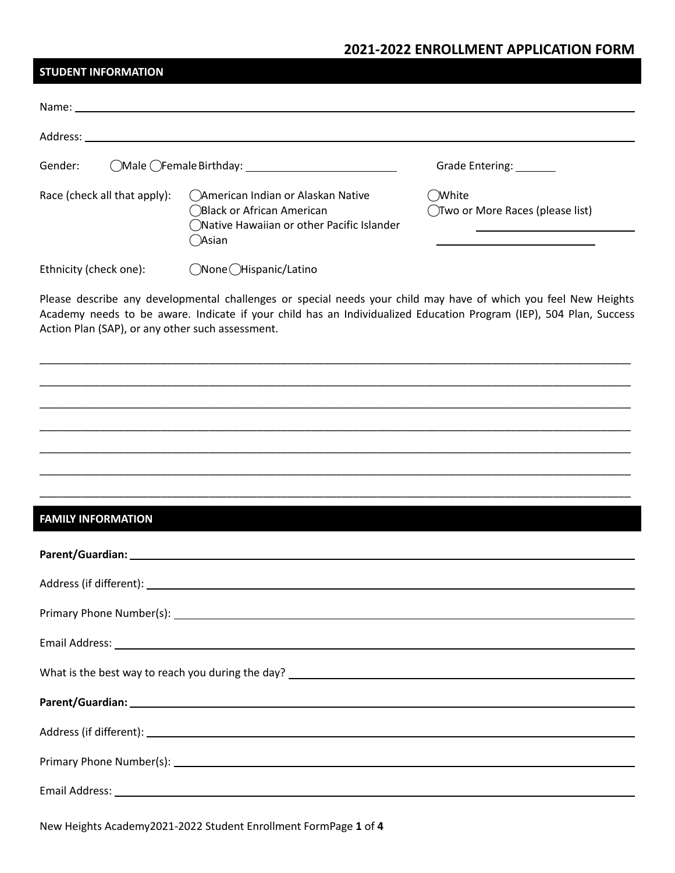## **2021-2022 ENROLLMENT APPLICATION FORM**

| <b>STUDENT INFORMATION</b>                       |                                                                                                                                                                                                                                       |                                              |
|--------------------------------------------------|---------------------------------------------------------------------------------------------------------------------------------------------------------------------------------------------------------------------------------------|----------------------------------------------|
|                                                  |                                                                                                                                                                                                                                       |                                              |
|                                                  |                                                                                                                                                                                                                                       |                                              |
| Gender:                                          |                                                                                                                                                                                                                                       | Grade Entering: _______                      |
| Race (check all that apply):                     | American Indian or Alaskan Native<br>◯Black or African American<br>◯Native Hawaiian or other Pacific Islander<br>( )Asian                                                                                                             | ( )White<br>◯Two or More Races (please list) |
| ◯None (Hispanic/Latino<br>Ethnicity (check one): |                                                                                                                                                                                                                                       |                                              |
| Action Plan (SAP), or any other such assessment. | Please describe any developmental challenges or special needs your child may have of which you feel New Heights<br>Academy needs to be aware. Indicate if your child has an Individualized Education Program (IEP), 504 Plan, Success |                                              |
|                                                  |                                                                                                                                                                                                                                       |                                              |
|                                                  |                                                                                                                                                                                                                                       |                                              |
|                                                  |                                                                                                                                                                                                                                       |                                              |

# **FAMILY INFORMATION**

\_\_\_\_\_\_\_\_\_\_\_\_\_\_\_\_\_\_\_\_\_\_\_\_\_\_\_\_\_\_\_\_\_\_\_\_\_\_\_\_\_\_\_\_\_\_\_\_\_\_\_\_\_\_\_\_\_\_\_\_\_\_\_\_\_\_\_\_\_\_\_\_\_\_\_\_\_\_\_\_\_\_\_\_\_\_\_\_\_\_\_\_\_\_\_\_\_\_

\_\_\_\_\_\_\_\_\_\_\_\_\_\_\_\_\_\_\_\_\_\_\_\_\_\_\_\_\_\_\_\_\_\_\_\_\_\_\_\_\_\_\_\_\_\_\_\_\_\_\_\_\_\_\_\_\_\_\_\_\_\_\_\_\_\_\_\_\_\_\_\_\_\_\_\_\_\_\_\_\_\_\_\_\_\_\_\_\_\_\_\_\_\_\_\_\_\_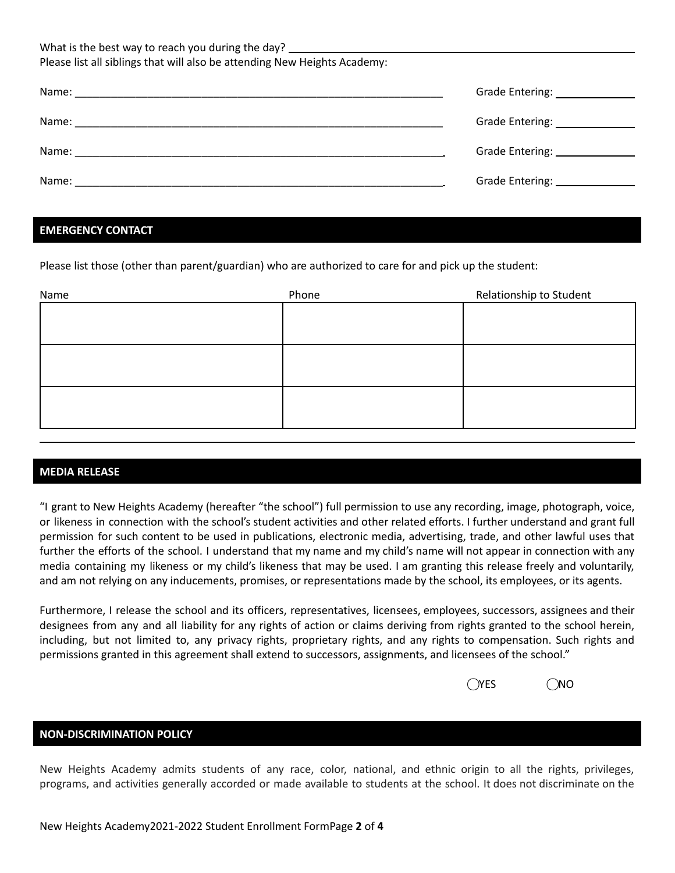| What is the best way to reach you during the day? _______________________________<br>Please list all siblings that will also be attending New Heights Academy: |                                 |
|----------------------------------------------------------------------------------------------------------------------------------------------------------------|---------------------------------|
|                                                                                                                                                                | Grade Entering: 1997            |
|                                                                                                                                                                | Grade Entering: _______________ |
|                                                                                                                                                                |                                 |
| Name:                                                                                                                                                          | Grade Entering: _____________   |

### **EMERGENCY CONTACT**

Please list those (other than parent/guardian) who are authorized to care for and pick up the student:

| Name | Phone | Relationship to Student |
|------|-------|-------------------------|
|      |       |                         |
|      |       |                         |
|      |       |                         |
|      |       |                         |
|      |       |                         |
|      |       |                         |
|      |       |                         |
|      |       |                         |

#### **MEDIA RELEASE**

"I grant to New Heights Academy (hereafter "the school") full permission to use any recording, image, photograph, voice, or likeness in connection with the school's student activities and other related efforts. I further understand and grant full permission for such content to be used in publications, electronic media, advertising, trade, and other lawful uses that further the efforts of the school. I understand that my name and my child's name will not appear in connection with any media containing my likeness or my child's likeness that may be used. I am granting this release freely and voluntarily, and am not relying on any inducements, promises, or representations made by the school, its employees, or its agents.

Furthermore, I release the school and its officers, representatives, licensees, employees, successors, assignees and their designees from any and all liability for any rights of action or claims deriving from rights granted to the school herein, including, but not limited to, any privacy rights, proprietary rights, and any rights to compensation. Such rights and permissions granted in this agreement shall extend to successors, assignments, and licensees of the school."

| $\bigcirc$ YES | $\bigcirc$ NO |
|----------------|---------------|
|                |               |

#### **NON-DISCRIMINATION POLICY**

New Heights Academy admits students of any race, color, national, and ethnic origin to all the rights, privileges, programs, and activities generally accorded or made available to students at the school. It does not discriminate on the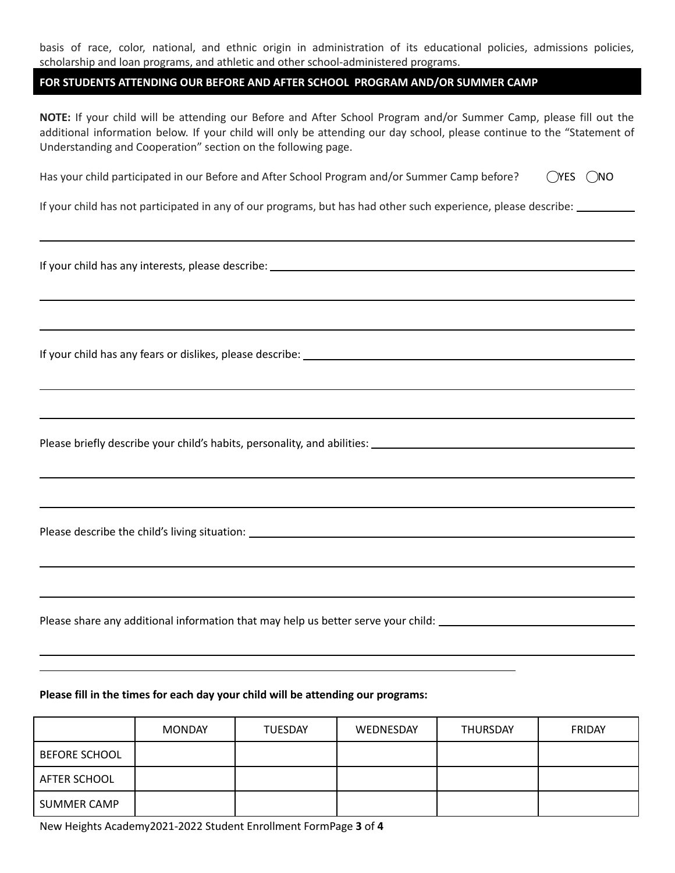basis of race, color, national, and ethnic origin in administration of its educational policies, admissions policies, scholarship and loan programs, and athletic and other school-administered programs.

#### **FOR STUDENTS ATTENDING OUR BEFORE AND AFTER SCHOOL PROGRAM AND/OR SUMMER CAMP**

**NOTE:** If your child will be attending our Before and After School Program and/or Summer Camp, please fill out the additional information below. If your child will only be attending our day school, please continue to the "Statement of Understanding and Cooperation" section on the following page.

| Has your child participated in our Before and After School Program and/or Summer Camp before? | $OYES$ $ONO$ |  |
|-----------------------------------------------------------------------------------------------|--------------|--|
|                                                                                               |              |  |

If your child has not participated in any of our programs, but has had other such experience, please describe:

If your child has any interests, please describe:

If your child has any fears or dislikes, please describe:

Please briefly describe your child's habits, personality, and abilities:

Please describe the child's living situation: \_\_\_\_\_\_\_\_\_\_\_\_\_\_\_\_\_\_\_\_\_\_\_\_\_\_\_\_\_\_\_\_\_\_

Please share any additional information that may help us better serve your child: \_\_\_\_\_\_\_\_\_\_\_\_\_\_\_\_\_\_\_\_\_\_\_\_\_\_\_\_

#### **Please fill in the times for each day your child will be attending our programs:**

|                      | <b>MONDAY</b> | <b>TUESDAY</b> | WEDNESDAY | <b>THURSDAY</b> | FRIDAY |
|----------------------|---------------|----------------|-----------|-----------------|--------|
| <b>BEFORE SCHOOL</b> |               |                |           |                 |        |
| AFTER SCHOOL         |               |                |           |                 |        |
| <b>SUMMER CAMP</b>   |               |                |           |                 |        |